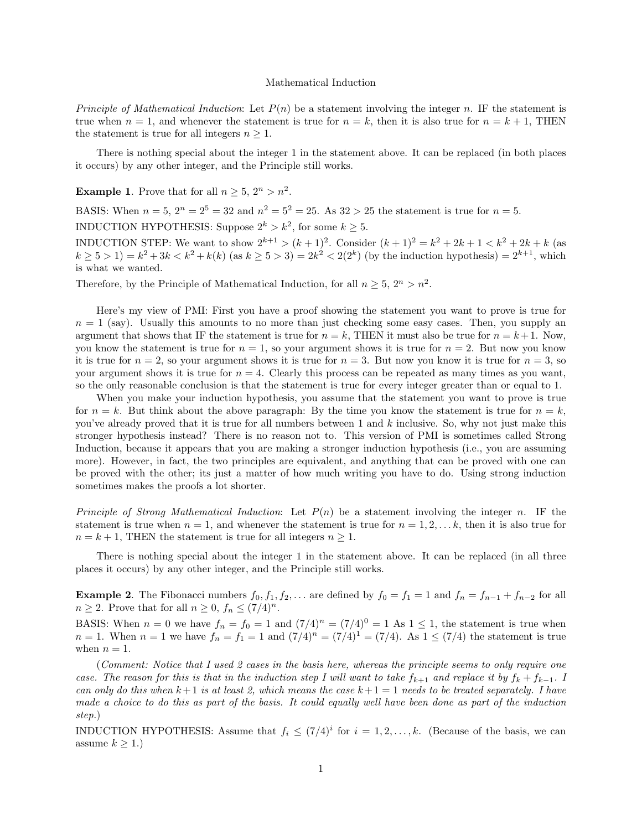## Mathematical Induction

*Principle of Mathematical Induction*: Let  $P(n)$  be a statement involving the integer *n*. IF the statement is true when  $n = 1$ , and whenever the statement is true for  $n = k$ , then it is also true for  $n = k + 1$ , THEN the statement is true for all integers  $n \geq 1$ .

There is nothing special about the integer 1 in the statement above. It can be replaced (in both places it occurs) by any other integer, and the Principle still works.

**Example 1**. Prove that for all  $n > 5$ ,  $2^n > n^2$ .

BASIS: When  $n = 5$ ,  $2^n = 2^5 = 32$  and  $n^2 = 5^2 = 25$ . As  $32 > 25$  the statement is true for  $n = 5$ .

INDUCTION HYPOTHESIS: Suppose  $2^k > k^2$ , for some  $k > 5$ .

**INDUCTION STEP:** We want to show  $2^{k+1} > (k+1)^2$ . Consider  $(k+1)^2 = k^2 + 2k + 1 < k^2 + 2k + k$  (as  $k \ge 5 > 1$ ) =  $k^2 + 3k < k^2 + k(k)$  (as  $k \ge 5 > 3$ ) =  $2k^2 < 2(2^k)$  (by the induction hypothesis) =  $2^{k+1}$ , which is what we wanted.

Therefore, by the Principle of Mathematical Induction, for all  $n \geq 5$ ,  $2^n > n^2$ .

Here's my view of PMI: First you have a proof showing the statement you want to prove is true for  $n = 1$  (say). Usually this amounts to no more than just checking some easy cases. Then, you supply an argument that shows that IF the statement is true for  $n = k$ , THEN it must also be true for  $n = k + 1$ . Now, you know the statement is true for  $n = 1$ , so your argument shows it is true for  $n = 2$ . But now you know it is true for  $n = 2$ , so your argument shows it is true for  $n = 3$ . But now you know it is true for  $n = 3$ , so your argument shows it is true for  $n = 4$ . Clearly this process can be repeated as many times as you want, so the only reasonable conclusion is that the statement is true for every integer greater than or equal to 1.

When you make your induction hypothesis, you assume that the statement you want to prove is true for  $n = k$ . But think about the above paragraph: By the time you know the statement is true for  $n = k$ , you've already proved that it is true for all numbers between 1 and *k* inclusive. So, why not just make this stronger hypothesis instead? There is no reason not to. This version of PMI is sometimes called Strong Induction, because it appears that you are making a stronger induction hypothesis (i.e., you are assuming more). However, in fact, the two principles are equivalent, and anything that can be proved with one can be proved with the other; its just a matter of how much writing you have to do. Using strong induction sometimes makes the proofs a lot shorter.

Principle of Strong Mathematical Induction: Let *P*(*n*) be a statement involving the integer *n*. IF the statement is true when  $n = 1$ , and whenever the statement is true for  $n = 1, 2, \ldots k$ , then it is also true for  $n = k + 1$ , THEN the statement is true for all integers  $n \geq 1$ .

There is nothing special about the integer 1 in the statement above. It can be replaced (in all three places it occurs) by any other integer, and the Principle still works.

**Example 2**. The Fibonacci numbers  $f_0, f_1, f_2, \ldots$  are defined by  $f_0 = f_1 = 1$  and  $f_n = f_{n-1} + f_{n-2}$  for all  $n \geq 2$ . Prove that for all  $n \geq 0$ ,  $f_n \leq (7/4)^n$ .

BASIS: When  $n = 0$  we have  $f_n = f_0 = 1$  and  $(7/4)^n = (7/4)^0 = 1$  As  $1 \le 1$ , the statement is true when *n* = 1. When *n* = 1 we have  $f_n = f_1 = 1$  and  $(7/4)^n = (7/4)^1 = (7/4)$ . As  $1 \le (7/4)$  the statement is true when  $n = 1$ .

(Comment: Notice that I used 2 cases in the basis here, whereas the principle seems to only require one case. The reason for this is that in the induction step I will want to take  $f_{k+1}$  and replace it by  $f_k + f_{k-1}$ . I can only do this when  $k+1$  is at least 2, which means the case  $k+1=1$  needs to be treated separately. I have made a choice to do this as part of the basis. It could equally well have been done as part of the induction step.)

INDUCTION HYPOTHESIS: Assume that  $f_i \leq (7/4)^i$  for  $i = 1, 2, \ldots, k$ . (Because of the basis, we can assume  $k \geq 1$ .)